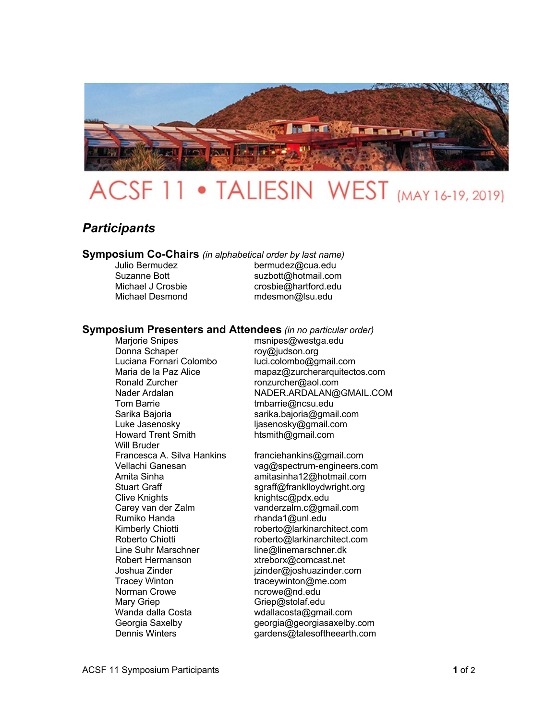

## ACSF 11 • TALIESIN WEST (MAY 16-19, 2019)

## *Participants*

**Symposium Co-Chairs** *(in alphabetical order by last name)*

bermudez@cua.edu Suzanne Bott suzbott@hotmail.com Michael J Crosbie crosbie@hartford.edu Michael Desmond mdesmon@lsu.edu

## **Symposium Presenters and Attendees** *(in no particular order)*

Marjorie Snipes musulm msnipes@westga.edu Donna Schaper roy@judson.org<br>Luciana Fornari Colombo luci.colombo@g Ronald Zurcher **ronzurcher@aol.com**<br>Nader Ardalan roman RADER.ARDALAN@ Tom Barrie tmbarrie@ncsu.edu Sarika Bajoria sarika.bajoria@gmail.com Luke Jasenosky and the University of State Jasenosky<br>Loward Trent Smith and the htsmith@gmail.com Will Bruder<br>Francesca A. Silva Hankins Clive Knights **Knightsc@pdx.edu** Carey van der Zalm vanderzalm.c@gmail.com Rumiko Handa **rhanda1@unl.edu** Line Suhr Marschner line@linemarschner.dk Robert Hermanson xtreborx@comcast.net Tracey Winton traceywinton@me.com Norman Crowe ncrowe@nd.edu Mary Griep Contract Contract Griep Contract Contract Griep Contract Contract Contract Contract Contract Contract Contract Contract Contract Contract Contract Contract Contract Contract Contract Contract Contract Contract C Wanda dalla Costa wdallacosta@gmail.com

luci.colombo@gmail.com Maria de la Paz Alice mapaz@zurcherarquitectos.com Nader Ardalan NADER.ARDALAN@GMAIL.COM htsmith@gmail.com

franciehankins@gmail.com Vellachi Ganesan vag@spectrum-engineers.com Amita Sinha amitasinha12@hotmail.com Stuart Graff strategy strategy sqraff@franklloydwright.org Kimberly Chiotti roberto@larkinarchitect.com<br>Roberto Chiotti roberto@larkinarchitect.com roberto@larkinarchitect.com Joshua Zinder in der izinder@joshuazinder.com Georgia Saxelby georgia@georgiasaxelby.com Dennis Winters **gardens@talesoftheearth.com**